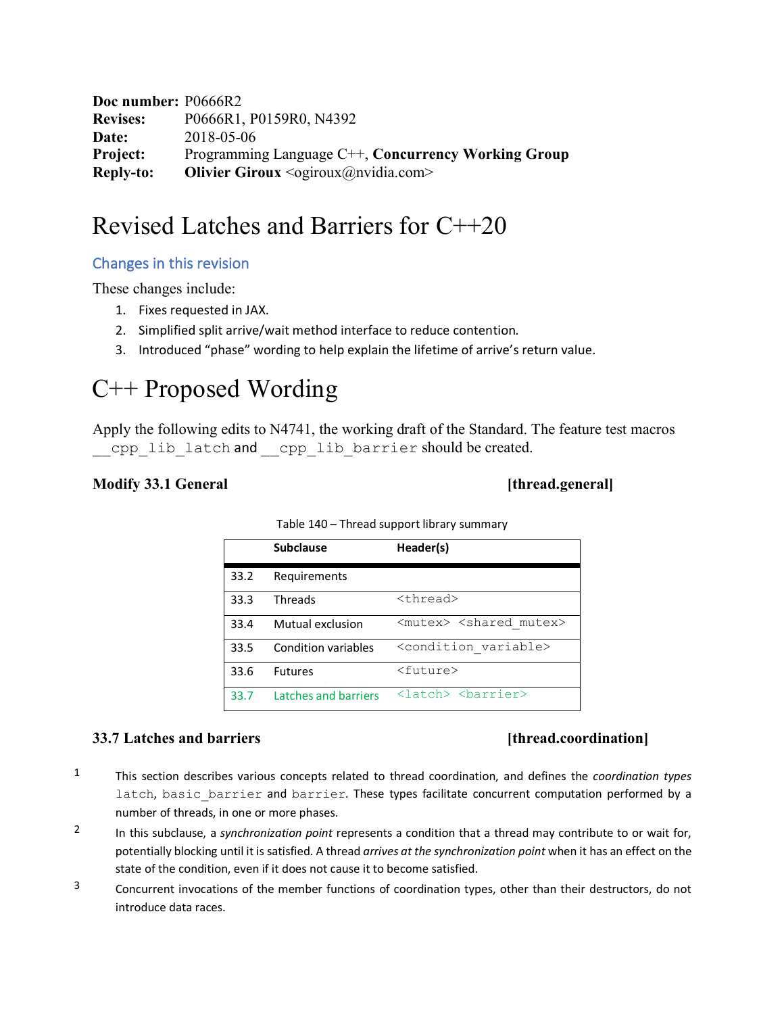**Doc number:** P0666R2 **Revises:** P0666R1, P0159R0, N4392 **Date:** 2018-05-06 **Project:** Programming Language C++, **Concurrency Working Group Reply-to: Olivier Giroux** < ogiroux@nvidia.com>

# Revised Latches and Barriers for C++20

# Changes in this revision

These changes include:

- 1. Fixes requested in JAX.
- 2. Simplified split arrive/wait method interface to reduce contention*.*
- 3. Introduced "phase" wording to help explain the lifetime of arrive's return value.

# C++ Proposed Wording

Apply the following edits to N4741, the working draft of the Standard. The feature test macros cpp lib latch and cpp lib barrier should be created.

# **Modify 33.1 General Constanting the Constanting of the Constanting of the Constanting of the Constanting of the Constanting of the Constanting of the Constanting of the Constanting of the Constanting of the Constanting**

|      | <b>Subclause</b>     | Header(s)                                                                                                                                                                                                                                                                                                                                                                                       |
|------|----------------------|-------------------------------------------------------------------------------------------------------------------------------------------------------------------------------------------------------------------------------------------------------------------------------------------------------------------------------------------------------------------------------------------------|
| 33.2 | Requirements         |                                                                                                                                                                                                                                                                                                                                                                                                 |
| 33.3 | <b>Threads</b>       | <thread></thread>                                                                                                                                                                                                                                                                                                                                                                               |
| 33.4 | Mutual exclusion     | <mutex> <shared mutex=""></shared></mutex>                                                                                                                                                                                                                                                                                                                                                      |
| 33.5 | Condition variables  | <condition variable=""></condition>                                                                                                                                                                                                                                                                                                                                                             |
| 33.6 | <b>Futures</b>       | <future></future>                                                                                                                                                                                                                                                                                                                                                                               |
| 33.7 | Latches and barriers | <latch> <br/> <br/> <br/> <br/> <br/> <dent<br></dent<br> <dent<br></dent<br> <dent<br></dent<br> <dent<br></dent<br> <dent<br></dent<br>&gt;<dent<br></dent<br>&gt;<br/><dent<br></dent<br>&gt;<dent<br></dent<br>&gt;<dent<br></dent<br><dent<br></dent<br>&gt;<dent<br></dent<br><dent<br></dent<br><dent<br></dent<br>S<br/><dent<br></dent<br>S<br/><dent<br></dent<br>S<br/>C&lt;</latch> |

Table 140 – Thread support library summary

## **33.7 Latches and barriers** [thread.coordination]

- 1 This section describes various concepts related to thread coordination, and defines the *coordination types* latch, basic barrier and barrier. These types facilitate concurrent computation performed by a number of threads, in one or more phases.
- 2 In this subclause, a *synchronization point* represents a condition that a thread may contribute to or wait for, potentially blocking until it is satisfied. A thread *arrives at the synchronization point* when it has an effect on the state of the condition, even if it does not cause it to become satisfied.
- <sup>3</sup> Concurrent invocations of the member functions of coordination types, other than their destructors, do not introduce data races.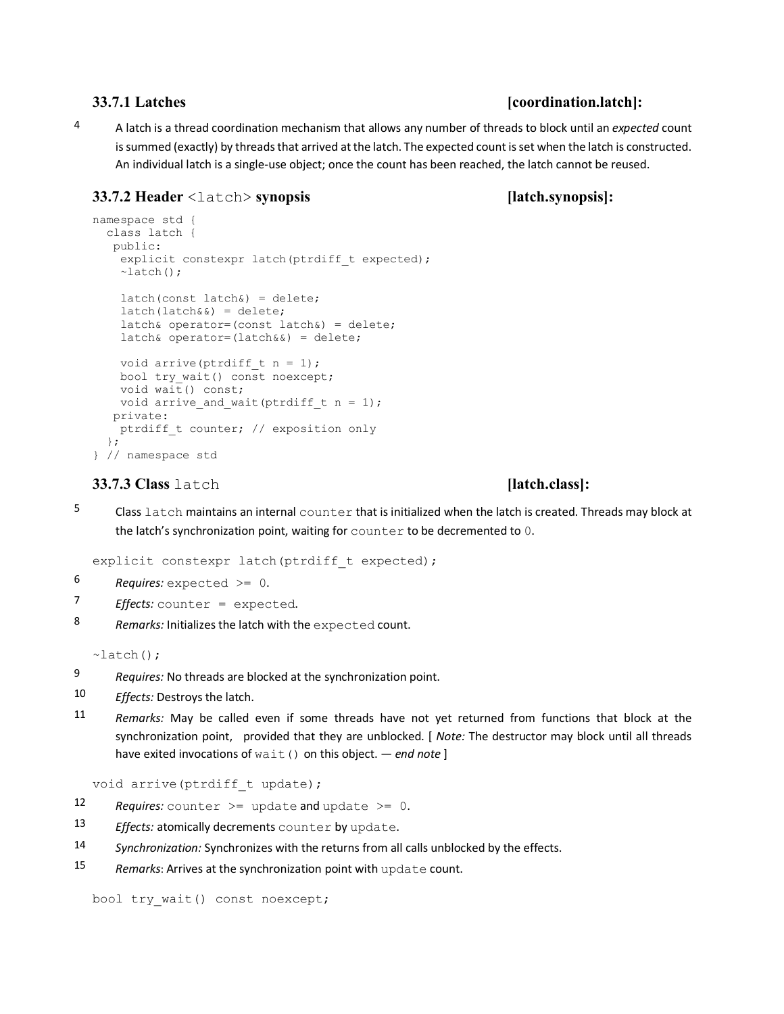### **33.7.1 Latches [coordination.latch]:**

4 A latch is a thread coordination mechanism that allows any number of threads to block until an *expected* count is summed (exactly) by threads that arrived at the latch. The expected count is set when the latch is constructed. An individual latch is a single-use object; once the count has been reached, the latch cannot be reused.

## **33.7.2 Header** <latch> **synopsis [latch.synopsis]:**

```
namespace std {
   class latch {
    public:
    explicit constexpr latch(ptrdiff t expected);
    \simlatch();
    latch(const 1atch@) = delete;latch(latch&() = delete;latch& operator=(const latch&) = delete;
     latch& operator=(latch&&) = delete;
    void arrive(ptrdiff t n = 1);
   bool try wait() const noexcept;
   void wait() const;
   void arrive and wait(ptrdiff t n = 1);
    private:
   ptrdiff t counter; // exposition only
   };
} // namespace std
```
### **33.7.3 Class** latch **[latch.class]:**

5 Class latch maintains an internal counter that is initialized when the latch is created. Threads may block at the latch's synchronization point, waiting for counter to be decremented to 0.

explicit constexpr latch(ptrdiff t expected);

6 *Requires:* expected >= 0.

- 7 *Effects:* counter = expected.
- 8 *Remarks:* Initializes the latch with the expected count.

 $\sim$ latch();

- 9 *Requires:* No threads are blocked at the synchronization point.
- 10 *Effects:* Destroys the latch.
- 11 *Remarks:* May be called even if some threads have not yet returned from functions that block at the synchronization point, provided that they are unblocked. [ *Note:* The destructor may block until all threads have exited invocations of wait() on this object. — *end note* ]

void arrive(ptrdiff t update);

- 12 Requires: counter  $\geq$  update and update  $\geq$  0.
- 13 *Effects:* atomically decrements counter by update.
- 14 *Synchronization:* Synchronizes with the returns from all calls unblocked by the effects.
- 15 *Remarks*: Arrives at the synchronization point with update count.

bool try wait() const noexcept;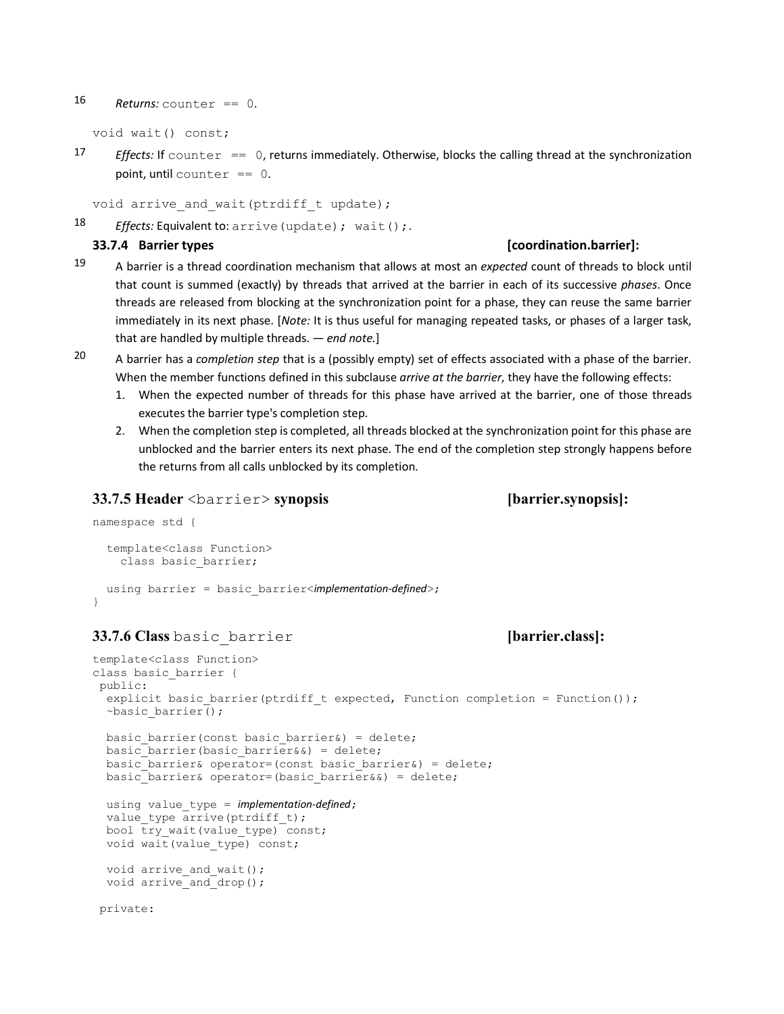### 16  $Returns: counter == 0.$

void wait() const;

17 *Effects:* If counter  $== 0$ , returns immediately. Otherwise, blocks the calling thread at the synchronization point, until counter  $== 0$ .

```
void arrive and wait(ptrdiff t update);
```

```
18 Effects: Equivalent to: arrive (update) ; wait () ;.
```
### **33.7.4 Barrier types [coordination.barrier]:**

- 19 A barrier is a thread coordination mechanism that allows at most an *expected* count of threads to block until that count is summed (exactly) by threads that arrived at the barrier in each of its successive *phases*. Once threads are released from blocking at the synchronization point for a phase, they can reuse the same barrier immediately in its next phase. [*Note:* It is thus useful for managing repeated tasks, or phases of a larger task, that are handled by multiple threads. — *end note.*]
- 
- 20 A barrier has a *completion step* that is a (possibly empty) set of effects associated with a phase of the barrier. When the member functions defined in this subclause *arrive at the barrier*, they have the following effects:
	- 1. When the expected number of threads for this phase have arrived at the barrier, one of those threads executes the barrier type's completion step.
	- 2. When the completion step is completed, all threads blocked at the synchronization point for this phase are unblocked and the barrier enters its next phase. The end of the completion step strongly happens before the returns from all calls unblocked by its completion.

### **33.7.5 Header** <barrier> **synopsis [barrier.synopsis]:**

```
namespace std {
   template<class Function>
    class basic barrier;
   using barrier = basic_barrier<implementation-defined>;
```

```
}
```
## **33.7.6 Class** basic\_barrier **[barrier.class]:**

```
template<class Function>
class basic_barrier {
 public:
  explicit basic barrier(ptrdiff t expected, Function completion = Function());
   ~basic_barrier();
  basic barrier(const basic barrier&) = delete;
  basic barrier(basic barrier&&) = delete;
  basic barrier& operator=(const basic barrier&) = delete;
  basic barrier& operator=(basic barrier&&) = delete;
   using value_type = implementation-defined;
  value type arrive(ptrdiff t);
  bool try wait(value type) const;
  void wait (value type) const;
  void arrive and wait();
  void arrive and drop();
 private:
```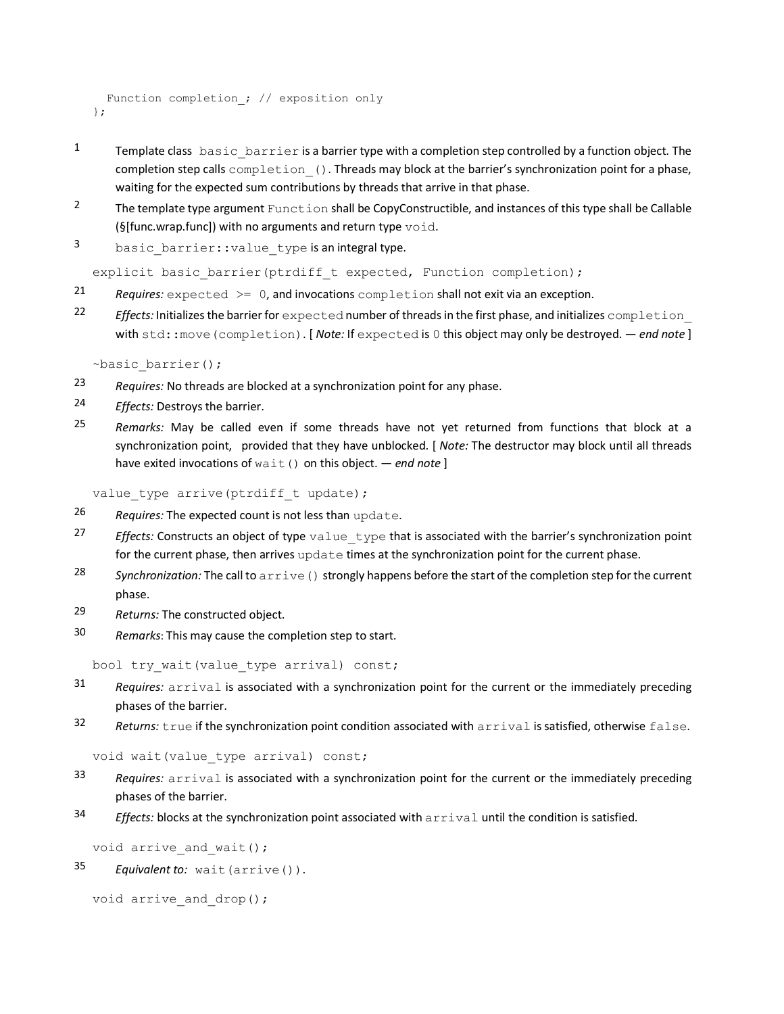```
Function completion ; // exposition only
};
```
- 1 Template class basic barrier is a barrier type with a completion step controlled by a function object. The completion step calls completion (). Threads may block at the barrier's synchronization point for a phase, waiting for the expected sum contributions by threads that arrive in that phase.
- <sup>2</sup> The template type argument Function shall be CopyConstructible, and instances of this type shall be Callable (§[func.wrap.func]) with no arguments and return type  $\text{void}$ .
- 3 basic barrier::value type is an integral type.

explicit basic barrier(ptrdiff t expected, Function completion);

- 21 *Requires:* expected >= 0, and invocations completion shall not exit via an exception.
- 22 *Effects:* Initializes the barrier for expected number of threads in the first phase, and initializes completion with std::move(completion). [ *Note:* If expected is 0 this object may only be destroyed. — *end note* ]

~basic\_barrier();

- 23 *Requires:* No threads are blocked at a synchronization point for any phase.
- 24 *Effects:* Destroys the barrier.
- 25 *Remarks:* May be called even if some threads have not yet returned from functions that block at a synchronization point, provided that they have unblocked. [ *Note:* The destructor may block until all threads have exited invocations of wait() on this object. — *end note* ]

value type arrive(ptrdiff t update);

- 26 *Requires:* The expected count is not less than update.
- 27 *Effects:* Constructs an object of type value type that is associated with the barrier's synchronization point for the current phase, then arrives update times at the synchronization point for the current phase.
- 28 *Synchronization:* The call to arrive() strongly happens before the start of the completion step for the current phase.
- 29 *Returns:* The constructed object.
- 30 *Remarks*: This may cause the completion step to start.

bool try wait(value type arrival) const;

- 31 *Requires:* arrival is associated with a synchronization point for the current or the immediately preceding phases of the barrier.
- 32 *Returns:* true if the synchronization point condition associated with arrival is satisfied, otherwise false.

void wait(value type arrival) const;

- 33 *Requires:* arrival is associated with a synchronization point for the current or the immediately preceding phases of the barrier.
- 34 *Effects:* blocks at the synchronization point associated with arrival until the condition is satisfied.

```
void arrive and wait();
```
35 *Equivalent to:* wait(arrive()).

```
void arrive and drop();
```